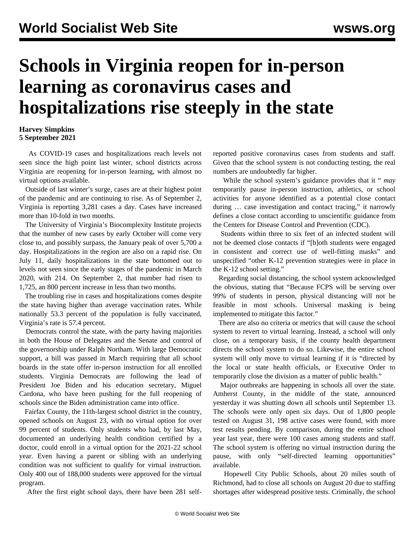## **Schools in Virginia reopen for in-person learning as coronavirus cases and hospitalizations rise steeply in the state**

## **Harvey Simpkins 5 September 2021**

 As COVID-19 cases and hospitalizations reach levels not seen since the high point last winter, school districts across Virginia are reopening for in-person learning, with almost no virtual options available.

 Outside of last winter's surge, cases are at their highest point of the pandemic and are continuing to rise. As of September 2, Virginia is reporting 3,281 cases a day. Cases have increased more than 10-fold in two months.

 The University of Virginia's Biocomplexity Institute projects that the number of new cases by early October will come very close to, and possibly surpass, the January peak of over 5,700 a day. Hospitalizations in the region are also on a rapid rise. On July 11, daily hospitalizations in the state bottomed out to levels not seen since the early stages of the pandemic in March 2020, with 214. On September 2, that number had risen to 1,725, an 800 percent increase in less than two months.

 The troubling rise in cases and hospitalizations comes despite the state having higher than average vaccination rates. While nationally 53.3 percent of the population is fully vaccinated, Virginia's rate is 57.4 percent.

 Democrats control the state, with the party having majorities in both the House of Delegates and the Senate and control of the governorship under Ralph Northam. With large Democratic support, a bill was passed in March requiring that all school boards in the state offer in-person instruction for all enrolled students. Virginia Democrats are following the lead of President Joe Biden and his education secretary, Miguel Cardona, who have been pushing for the full reopening of schools since the Biden administration came into office.

 Fairfax County, the 11th-largest school district in the country, opened schools on August 23, with no virtual option for over 99 percent of students. Only students who had, by last May, documented an underlying health condition certified by a doctor, could enroll in a virtual option for the 2021-22 school year. Even having a parent or sibling with an underlying condition was not sufficient to qualify for virtual instruction. Only 400 out of 188,000 students were approved for the virtual program.

After the first eight school days, there have been 281 self-

reported positive coronavirus cases from students and staff. Given that the school system is not conducting testing, the real numbers are undoubtedly far higher.

 While the school system's guidance provides that it " *may* temporarily pause in-person instruction, athletics, or school activities for anyone identified as a potential close contact during … case investigation and contact tracing," it narrowly defines a close contact according to unscientific guidance from the Centers for Disease Control and Prevention (CDC).

 Students within three to six feet of an infected student will not be deemed close contacts if "[b]oth students were engaged in consistent and correct use of well-fitting masks" and unspecified "other K-12 prevention strategies were in place in the K-12 school setting."

 Regarding social distancing, the school system acknowledged the obvious, stating that "Because FCPS will be serving over 99% of students in person, physical distancing will not be feasible in most schools. Universal masking is being implemented to mitigate this factor."

 There are also no criteria or metrics that will cause the school system to revert to virtual learning. Instead, a school will only close, on a temporary basis, if the county health department directs the school system to do so. Likewise, the entire school system will only move to virtual learning if it is "directed by the local or state health officials, or Executive Order to temporarily close the division as a matter of public health."

 Major outbreaks are happening in schools all over the state. Amherst County, in the middle of the state, announced yesterday it was shutting down all schools until September 13. The schools were only open six days. Out of 1,800 people tested on August 31, 198 active cases were found, with more test results pending. By comparison, during the entire school year last year, there were 100 cases among students and staff. The school system is offering no virtual instruction during the pause, with only "self-directed learning opportunities" available.

 Hopewell City Public Schools, about 20 miles south of Richmond, had to close all schools on August 20 due to staffing shortages after widespread positive tests. Criminally, the school